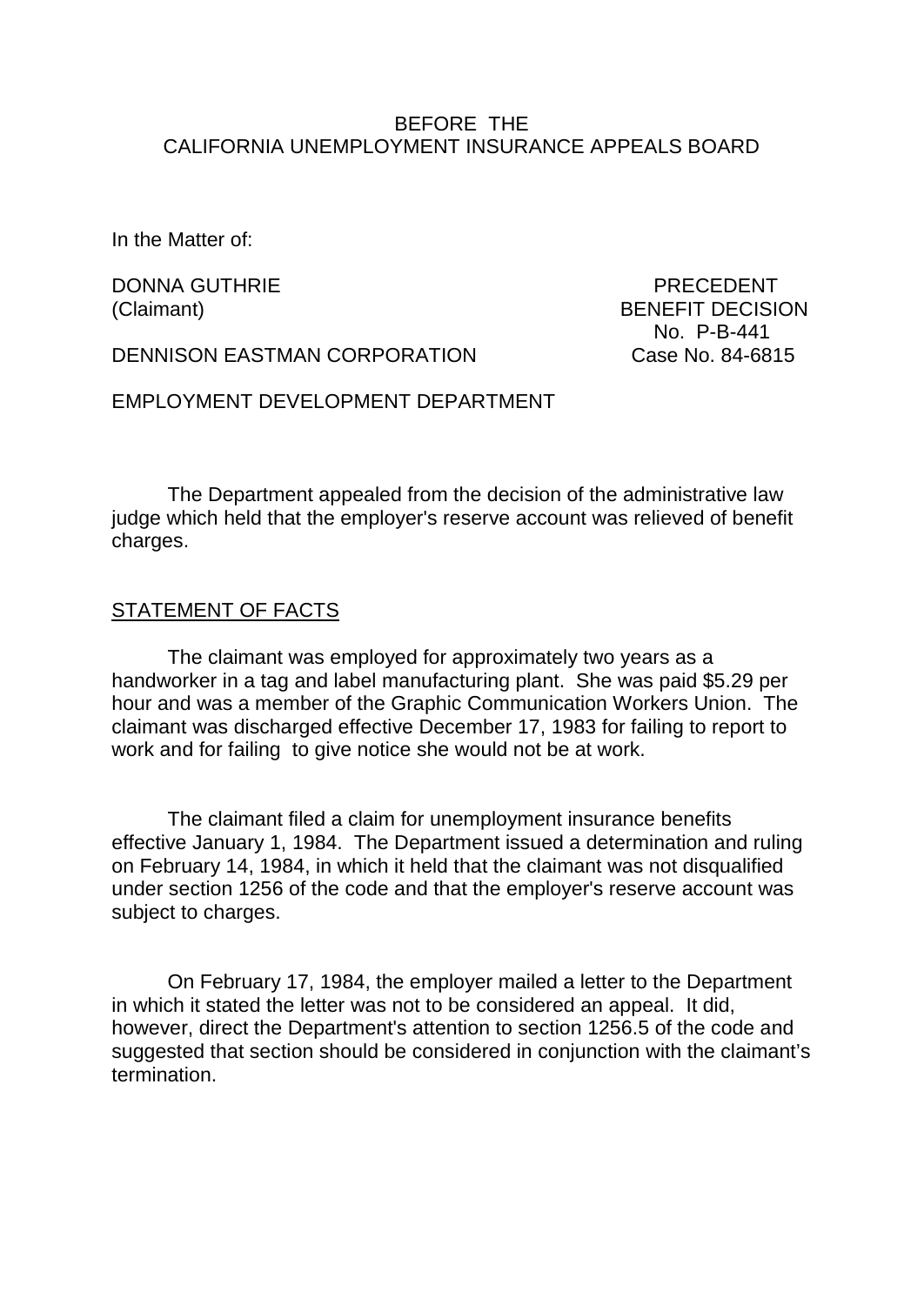### BEFORE THE CALIFORNIA UNEMPLOYMENT INSURANCE APPEALS BOARD

In the Matter of:

DONNA GUTHRIE PRECEDENT

DENNISON EASTMAN CORPORATION Case No. 84-6815

(Claimant) BENEFIT DECISION No. P-B-441

EMPLOYMENT DEVELOPMENT DEPARTMENT

The Department appealed from the decision of the administrative law judge which held that the employer's reserve account was relieved of benefit charges.

#### STATEMENT OF FACTS

The claimant was employed for approximately two years as a handworker in a tag and label manufacturing plant. She was paid \$5.29 per hour and was a member of the Graphic Communication Workers Union. The claimant was discharged effective December 17, 1983 for failing to report to work and for failing to give notice she would not be at work.

The claimant filed a claim for unemployment insurance benefits effective January 1, 1984. The Department issued a determination and ruling on February 14, 1984, in which it held that the claimant was not disqualified under section 1256 of the code and that the employer's reserve account was subject to charges.

On February 17, 1984, the employer mailed a letter to the Department in which it stated the letter was not to be considered an appeal. It did, however, direct the Department's attention to section 1256.5 of the code and suggested that section should be considered in conjunction with the claimant's termination.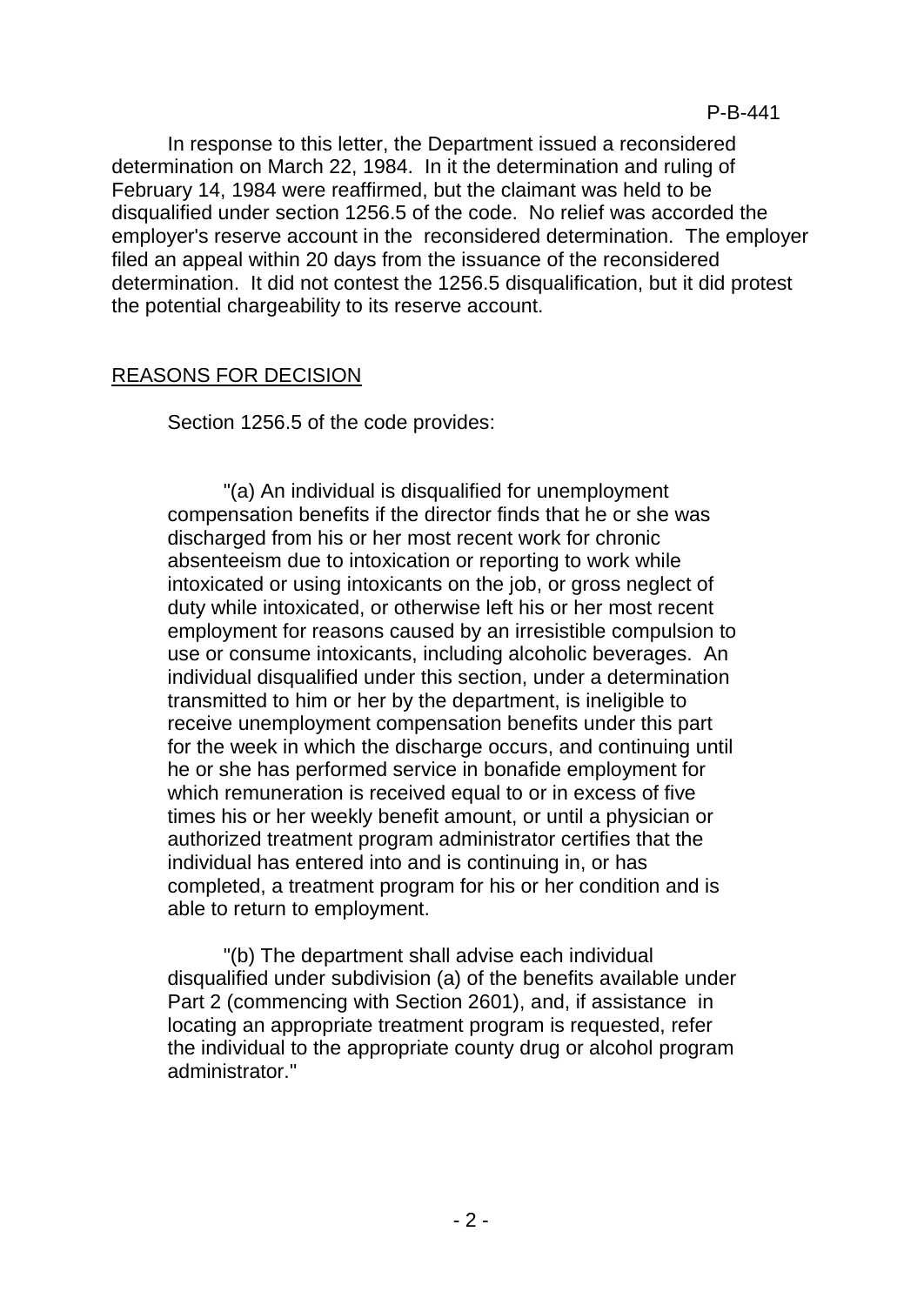In response to this letter, the Department issued a reconsidered determination on March 22, 1984. In it the determination and ruling of February 14, 1984 were reaffirmed, but the claimant was held to be disqualified under section 1256.5 of the code. No relief was accorded the employer's reserve account in the reconsidered determination. The employer filed an appeal within 20 days from the issuance of the reconsidered determination. It did not contest the 1256.5 disqualification, but it did protest the potential chargeability to its reserve account.

#### REASONS FOR DECISION

Section 1256.5 of the code provides:

"(a) An individual is disqualified for unemployment compensation benefits if the director finds that he or she was discharged from his or her most recent work for chronic absenteeism due to intoxication or reporting to work while intoxicated or using intoxicants on the job, or gross neglect of duty while intoxicated, or otherwise left his or her most recent employment for reasons caused by an irresistible compulsion to use or consume intoxicants, including alcoholic beverages. An individual disqualified under this section, under a determination transmitted to him or her by the department, is ineligible to receive unemployment compensation benefits under this part for the week in which the discharge occurs, and continuing until he or she has performed service in bonafide employment for which remuneration is received equal to or in excess of five times his or her weekly benefit amount, or until a physician or authorized treatment program administrator certifies that the individual has entered into and is continuing in, or has completed, a treatment program for his or her condition and is able to return to employment.

"(b) The department shall advise each individual disqualified under subdivision (a) of the benefits available under Part 2 (commencing with Section 2601), and, if assistance in locating an appropriate treatment program is requested, refer the individual to the appropriate county drug or alcohol program administrator."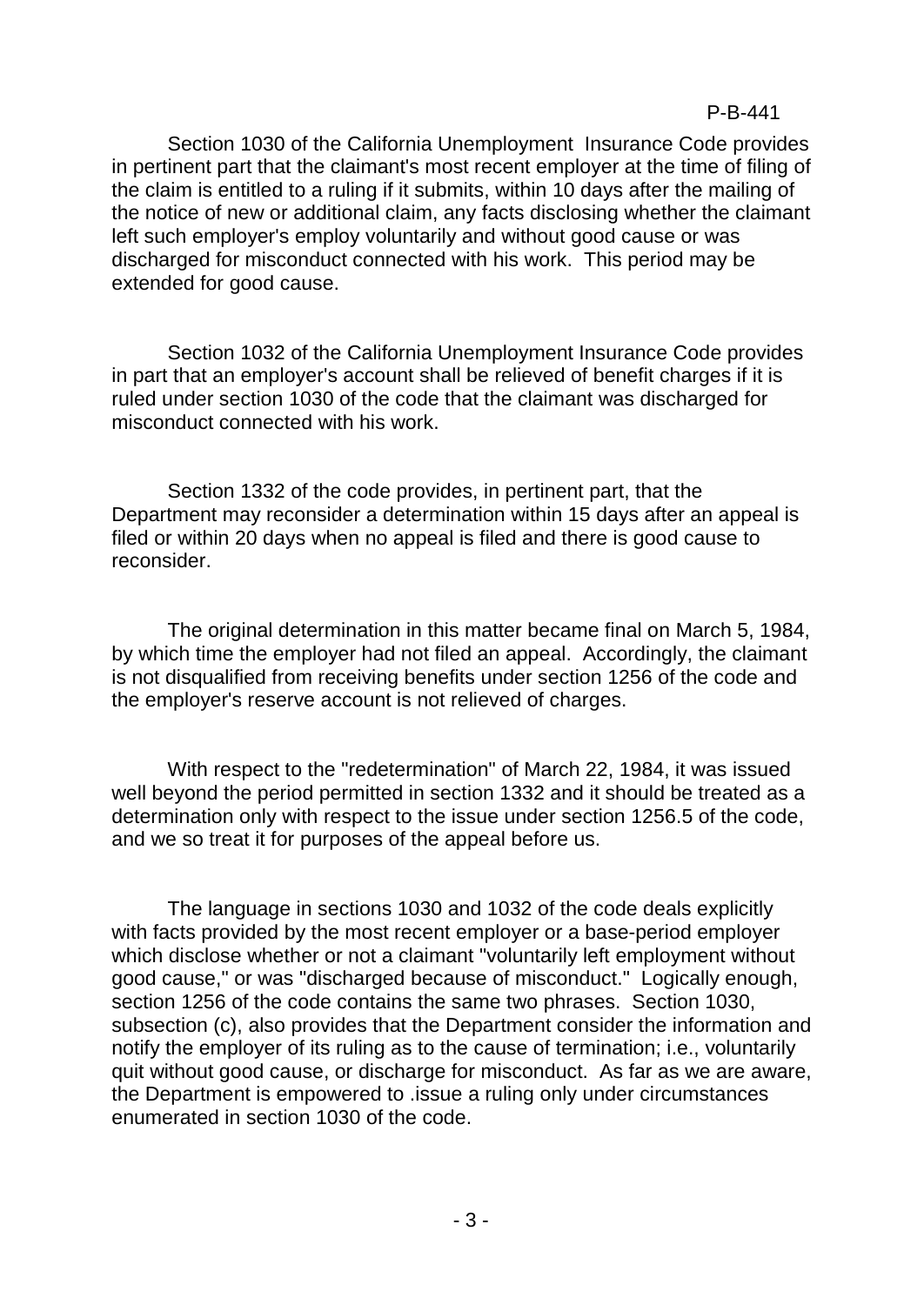Section 1030 of the California Unemployment Insurance Code provides in pertinent part that the claimant's most recent employer at the time of filing of the claim is entitled to a ruling if it submits, within 10 days after the mailing of the notice of new or additional claim, any facts disclosing whether the claimant left such employer's employ voluntarily and without good cause or was discharged for misconduct connected with his work. This period may be extended for good cause.

Section 1032 of the California Unemployment Insurance Code provides in part that an employer's account shall be relieved of benefit charges if it is ruled under section 1030 of the code that the claimant was discharged for misconduct connected with his work.

Section 1332 of the code provides, in pertinent part, that the Department may reconsider a determination within 15 days after an appeal is filed or within 20 days when no appeal is filed and there is good cause to reconsider.

The original determination in this matter became final on March 5, 1984, by which time the employer had not filed an appeal. Accordingly, the claimant is not disqualified from receiving benefits under section 1256 of the code and the employer's reserve account is not relieved of charges.

With respect to the "redetermination" of March 22, 1984, it was issued well beyond the period permitted in section 1332 and it should be treated as a determination only with respect to the issue under section 1256.5 of the code, and we so treat it for purposes of the appeal before us.

The language in sections 1030 and 1032 of the code deals explicitly with facts provided by the most recent employer or a base-period employer which disclose whether or not a claimant "voluntarily left employment without good cause," or was "discharged because of misconduct." Logically enough, section 1256 of the code contains the same two phrases. Section 1030, subsection (c), also provides that the Department consider the information and notify the employer of its ruling as to the cause of termination; i.e., voluntarily quit without good cause, or discharge for misconduct. As far as we are aware, the Department is empowered to .issue a ruling only under circumstances enumerated in section 1030 of the code.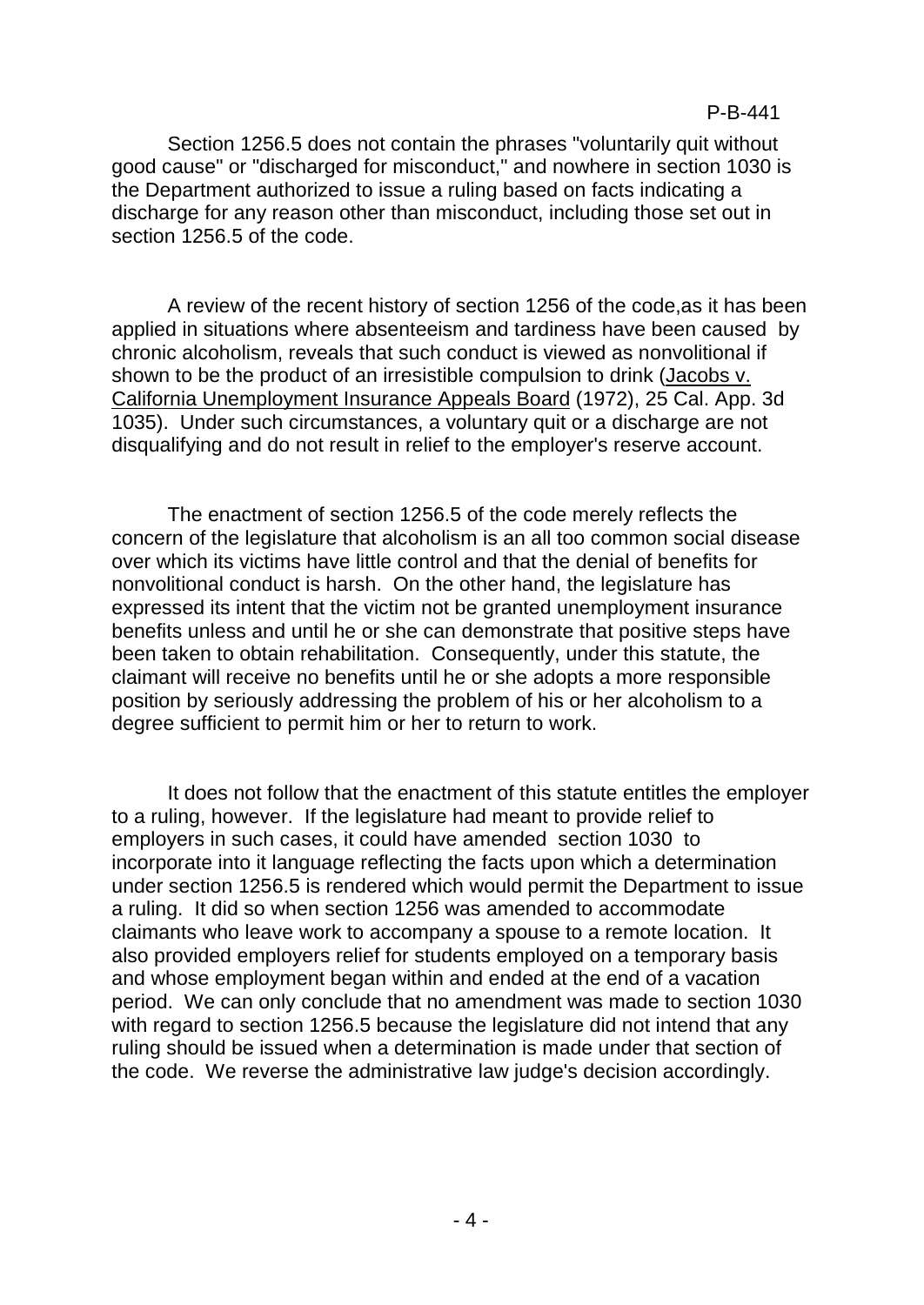Section 1256.5 does not contain the phrases "voluntarily quit without good cause" or "discharged for misconduct," and nowhere in section 1030 is the Department authorized to issue a ruling based on facts indicating a discharge for any reason other than misconduct, including those set out in section 1256.5 of the code.

A review of the recent history of section 1256 of the code,as it has been applied in situations where absenteeism and tardiness have been caused by chronic alcoholism, reveals that such conduct is viewed as nonvolitional if shown to be the product of an irresistible compulsion to drink (Jacobs v. California Unemployment Insurance Appeals Board (1972), 25 Cal. App. 3d 1035). Under such circumstances, a voluntary quit or a discharge are not disqualifying and do not result in relief to the employer's reserve account.

The enactment of section 1256.5 of the code merely reflects the concern of the legislature that alcoholism is an all too common social disease over which its victims have little control and that the denial of benefits for nonvolitional conduct is harsh. On the other hand, the legislature has expressed its intent that the victim not be granted unemployment insurance benefits unless and until he or she can demonstrate that positive steps have been taken to obtain rehabilitation. Consequently, under this statute, the claimant will receive no benefits until he or she adopts a more responsible position by seriously addressing the problem of his or her alcoholism to a degree sufficient to permit him or her to return to work.

It does not follow that the enactment of this statute entitles the employer to a ruling, however. If the legislature had meant to provide relief to employers in such cases, it could have amended section 1030 to incorporate into it language reflecting the facts upon which a determination under section 1256.5 is rendered which would permit the Department to issue a ruling. It did so when section 1256 was amended to accommodate claimants who leave work to accompany a spouse to a remote location. It also provided employers relief for students employed on a temporary basis and whose employment began within and ended at the end of a vacation period. We can only conclude that no amendment was made to section 1030 with regard to section 1256.5 because the legislature did not intend that any ruling should be issued when a determination is made under that section of the code. We reverse the administrative law judge's decision accordingly.